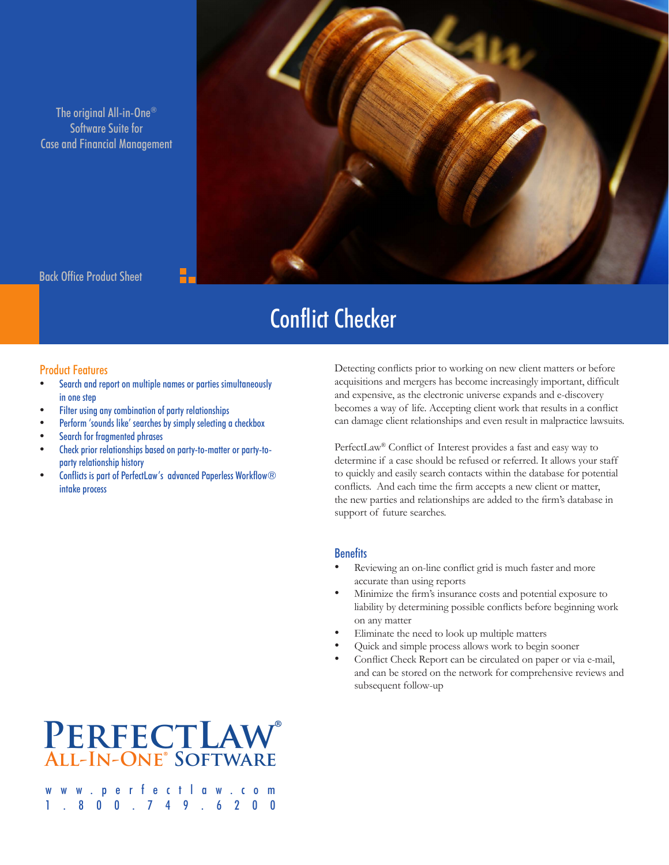The original All-in-One® Software Suite for Case and Financial Management



Back Office Product Sheet

## Conflict Checker

### Product Features

- Search and report on multiple names or parties simultaneously in one step
- Filter using any combination of party relationships
- Perform 'sounds like' searches by simply selecting a checkbox
- Search for fragmented phrases
- Check prior relationships based on party-to-matter or party-toparty relationship history
- Conflicts is part of PerfectLaw's advanced Paperless Workflow® intake process

Detecting conflicts prior to working on new client matters or before acquisitions and mergers has become increasingly important, difficult and expensive, as the electronic universe expands and e-discovery becomes a way of life. Accepting client work that results in a conflict can damage client relationships and even result in malpractice lawsuits.

PerfectLaw® Conflict of Interest provides a fast and easy way to determine if a case should be refused or referred. It allows your staff to quickly and easily search contacts within the database for potential conflicts. And each time the firm accepts a new client or matter, the new parties and relationships are added to the firm's database in support of future searches.

### **Benefits**

- Reviewing an on-line conflict grid is much faster and more accurate than using reports
- • Minimize the firm's insurance costs and potential exposure to liability by determining possible conflicts before beginning work on any matter
- Eliminate the need to look up multiple matters
- Quick and simple process allows work to begin sooner
- Conflict Check Report can be circulated on paper or via e-mail, and can be stored on the network for comprehensive reviews and subsequent follow-up

### **PerfectLaw® All-In-One® Software**

w.perfectlaw.c 1.800.749.6200